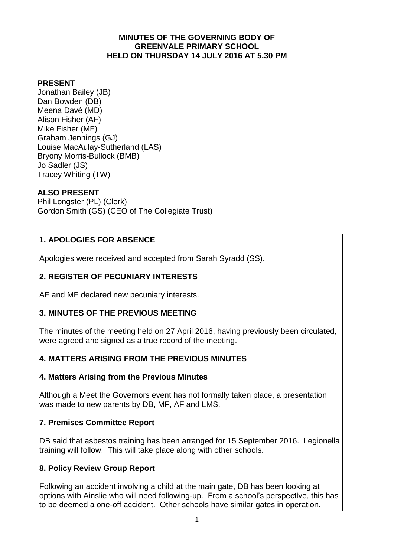#### **MINUTES OF THE GOVERNING BODY OF GREENVALE PRIMARY SCHOOL HELD ON THURSDAY 14 JULY 2016 AT 5.30 PM**

#### **PRESENT**

Jonathan Bailey (JB) Dan Bowden (DB) Meena Davé (MD) Alison Fisher (AF) Mike Fisher (MF) Graham Jennings (GJ) Louise MacAulay-Sutherland (LAS) Bryony Morris-Bullock (BMB) Jo Sadler (JS) Tracey Whiting (TW)

### **ALSO PRESENT**

Phil Longster (PL) (Clerk) Gordon Smith (GS) (CEO of The Collegiate Trust)

#### **1. APOLOGIES FOR ABSENCE**

Apologies were received and accepted from Sarah Syradd (SS).

### **2. REGISTER OF PECUNIARY INTERESTS**

AF and MF declared new pecuniary interests.

#### **3. MINUTES OF THE PREVIOUS MEETING**

The minutes of the meeting held on 27 April 2016, having previously been circulated, were agreed and signed as a true record of the meeting.

### **4. MATTERS ARISING FROM THE PREVIOUS MINUTES**

#### **4. Matters Arising from the Previous Minutes**

Although a Meet the Governors event has not formally taken place, a presentation was made to new parents by DB, MF, AF and LMS.

#### **7. Premises Committee Report**

DB said that asbestos training has been arranged for 15 September 2016. Legionella training will follow. This will take place along with other schools.

### **8. Policy Review Group Report**

Following an accident involving a child at the main gate, DB has been looking at options with Ainslie who will need following-up. From a school's perspective, this has to be deemed a one-off accident. Other schools have similar gates in operation.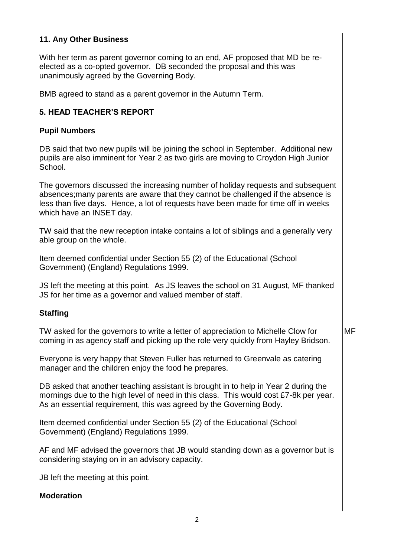#### **11. Any Other Business**

With her term as parent governor coming to an end, AF proposed that MD be reelected as a co-opted governor. DB seconded the proposal and this was unanimously agreed by the Governing Body.

BMB agreed to stand as a parent governor in the Autumn Term.

## **5. HEAD TEACHER'S REPORT**

#### **Pupil Numbers**

DB said that two new pupils will be joining the school in September. Additional new pupils are also imminent for Year 2 as two girls are moving to Croydon High Junior School.

The governors discussed the increasing number of holiday requests and subsequent absences;many parents are aware that they cannot be challenged if the absence is less than five days. Hence, a lot of requests have been made for time off in weeks which have an INSET day.

TW said that the new reception intake contains a lot of siblings and a generally very able group on the whole.

Item deemed confidential under Section 55 (2) of the Educational (School Government) (England) Regulations 1999.

JS left the meeting at this point. As JS leaves the school on 31 August, MF thanked JS for her time as a governor and valued member of staff.

### **Staffing**

TW asked for the governors to write a letter of appreciation to Michelle Clow for coming in as agency staff and picking up the role very quickly from Hayley Bridson. MF

Everyone is very happy that Steven Fuller has returned to Greenvale as catering manager and the children enjoy the food he prepares.

DB asked that another teaching assistant is brought in to help in Year 2 during the mornings due to the high level of need in this class. This would cost  $E7-8k$  per year. As an essential requirement, this was agreed by the Governing Body.

Item deemed confidential under Section 55 (2) of the Educational (School Government) (England) Regulations 1999.

AF and MF advised the governors that JB would standing down as a governor but is considering staying on in an advisory capacity.

JB left the meeting at this point.

#### **Moderation**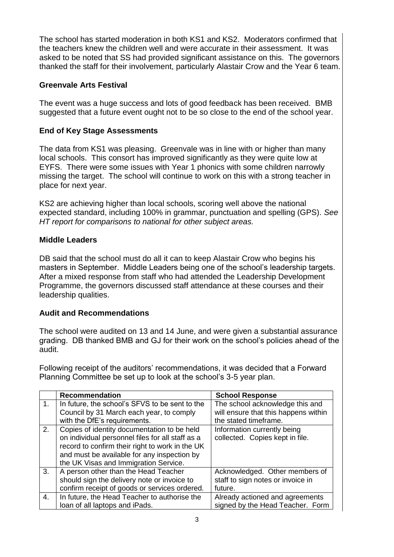The school has started moderation in both KS1 and KS2. Moderators confirmed that the teachers knew the children well and were accurate in their assessment. It was asked to be noted that SS had provided significant assistance on this. The governors thanked the staff for their involvement, particularly Alastair Crow and the Year 6 team.

#### **Greenvale Arts Festival**

The event was a huge success and lots of good feedback has been received. BMB suggested that a future event ought not to be so close to the end of the school year.

### **End of Key Stage Assessments**

The data from KS1 was pleasing. Greenvale was in line with or higher than many local schools. This consort has improved significantly as they were quite low at EYFS. There were some issues with Year 1 phonics with some children narrowly missing the target. The school will continue to work on this with a strong teacher in place for next year.

KS2 are achieving higher than local schools, scoring well above the national expected standard, including 100% in grammar, punctuation and spelling (GPS). *See HT report for comparisons to national for other subject areas.*

#### **Middle Leaders**

DB said that the school must do all it can to keep Alastair Crow who begins his masters in September. Middle Leaders being one of the school's leadership targets. After a mixed response from staff who had attended the Leadership Development Programme, the governors discussed staff attendance at these courses and their leadership qualities.

### **Audit and Recommendations**

The school were audited on 13 and 14 June, and were given a substantial assurance grading. DB thanked BMB and GJ for their work on the school's policies ahead of the audit.

Following receipt of the auditors' recommendations, it was decided that a Forward Planning Committee be set up to look at the school's 3-5 year plan.

|                | Recommendation                                   | <b>School Response</b>               |
|----------------|--------------------------------------------------|--------------------------------------|
| $\mathbf{1}$ . | In future, the school's SFVS to be sent to the   | The school acknowledge this and      |
|                | Council by 31 March each year, to comply         | will ensure that this happens within |
|                | with the DfE's requirements.                     | the stated timeframe.                |
| 2 <sub>1</sub> | Copies of identity documentation to be held      | Information currently being          |
|                | on individual personnel files for all staff as a | collected. Copies kept in file.      |
|                | record to confirm their right to work in the UK  |                                      |
|                | and must be available for any inspection by      |                                      |
|                | the UK Visas and Immigration Service.            |                                      |
| 3.             | A person other than the Head Teacher             | Acknowledged. Other members of       |
|                | should sign the delivery note or invoice to      | staff to sign notes or invoice in    |
|                | confirm receipt of goods or services ordered.    | future.                              |
| 4.             | In future, the Head Teacher to authorise the     | Already actioned and agreements      |
|                | loan of all laptops and iPads.                   | signed by the Head Teacher. Form     |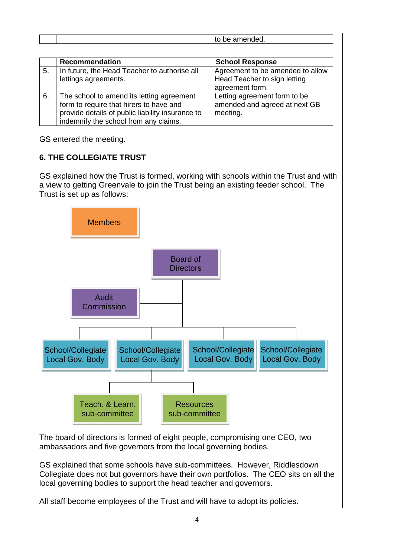| - -<br>. .<br>.<br>vu.<br>- |
|-----------------------------|
|                             |

|    | Recommendation                                   | <b>School Response</b>           |
|----|--------------------------------------------------|----------------------------------|
| 5. | In future, the Head Teacher to authorise all     | Agreement to be amended to allow |
|    | lettings agreements.                             | Head Teacher to sign letting     |
|    |                                                  | agreement form.                  |
| 6. | The school to amend its letting agreement        | Letting agreement form to be     |
|    | form to require that hirers to have and          | amended and agreed at next GB    |
|    | provide details of public liability insurance to | meeting.                         |
|    | indemnify the school from any claims.            |                                  |

GS entered the meeting.

# **6. THE COLLEGIATE TRUST**

GS explained how the Trust is formed, working with schools within the Trust and with a view to getting Greenvale to join the Trust being an existing feeder school. The Trust is set up as follows:



The board of directors is formed of eight people, compromising one CEO, two ambassadors and five governors from the local governing bodies.

GS explained that some schools have sub-committees. However, Riddlesdown Collegiate does not but governors have their own portfolios. The CEO sits on all the local governing bodies to support the head teacher and governors.

All staff become employees of the Trust and will have to adopt its policies.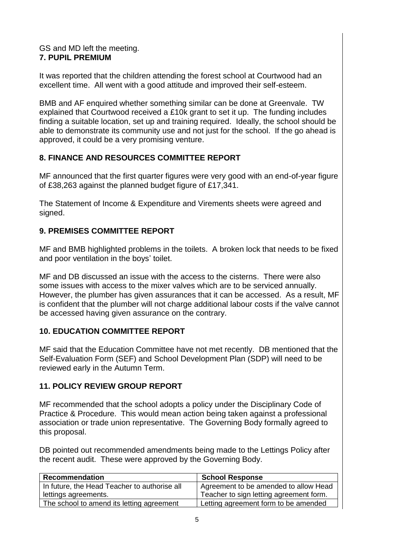#### GS and MD left the meeting. **7. PUPIL PREMIUM**

It was reported that the children attending the forest school at Courtwood had an excellent time. All went with a good attitude and improved their self-esteem.

BMB and AF enquired whether something similar can be done at Greenvale. TW explained that Courtwood received a £10k grant to set it up. The funding includes finding a suitable location, set up and training required. Ideally, the school should be able to demonstrate its community use and not just for the school. If the go ahead is approved, it could be a very promising venture.

# **8. FINANCE AND RESOURCES COMMITTEE REPORT**

MF announced that the first quarter figures were very good with an end-of-year figure of £38,263 against the planned budget figure of £17,341.

The Statement of Income & Expenditure and Virements sheets were agreed and signed.

### **9. PREMISES COMMITTEE REPORT**

MF and BMB highlighted problems in the toilets. A broken lock that needs to be fixed and poor ventilation in the boys' toilet.

MF and DB discussed an issue with the access to the cisterns. There were also some issues with access to the mixer valves which are to be serviced annually. However, the plumber has given assurances that it can be accessed. As a result, MF is confident that the plumber will not charge additional labour costs if the valve cannot be accessed having given assurance on the contrary.

### **10. EDUCATION COMMITTEE REPORT**

MF said that the Education Committee have not met recently. DB mentioned that the Self-Evaluation Form (SEF) and School Development Plan (SDP) will need to be reviewed early in the Autumn Term.

### **11. POLICY REVIEW GROUP REPORT**

MF recommended that the school adopts a policy under the Disciplinary Code of Practice & Procedure. This would mean action being taken against a professional association or trade union representative. The Governing Body formally agreed to this proposal.

DB pointed out recommended amendments being made to the Lettings Policy after the recent audit. These were approved by the Governing Body.

| <b>Recommendation</b>                        | <b>School Response</b>                  |
|----------------------------------------------|-----------------------------------------|
| In future, the Head Teacher to authorise all | Agreement to be amended to allow Head   |
| lettings agreements.                         | Teacher to sign letting agreement form. |
| The school to amend its letting agreement    | Letting agreement form to be amended    |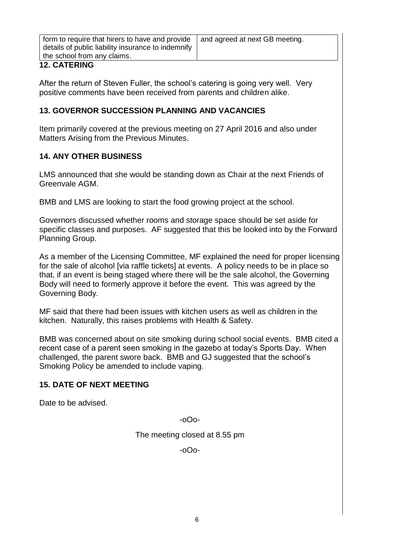form to require that hirers to have and provide details of public liability insurance to indemnify the school from any claims. and agreed at next GB meeting.

#### **12. CATERING**

After the return of Steven Fuller, the school's catering is going very well. Very positive comments have been received from parents and children alike.

# **13. GOVERNOR SUCCESSION PLANNING AND VACANCIES**

Item primarily covered at the previous meeting on 27 April 2016 and also under Matters Arising from the Previous Minutes.

### **14. ANY OTHER BUSINESS**

LMS announced that she would be standing down as Chair at the next Friends of Greenvale AGM.

BMB and LMS are looking to start the food growing project at the school.

Governors discussed whether rooms and storage space should be set aside for specific classes and purposes. AF suggested that this be looked into by the Forward Planning Group.

As a member of the Licensing Committee, MF explained the need for proper licensing for the sale of alcohol [via raffle tickets] at events. A policy needs to be in place so that, if an event is being staged where there will be the sale alcohol, the Governing Body will need to formerly approve it before the event. This was agreed by the Governing Body.

MF said that there had been issues with kitchen users as well as children in the kitchen. Naturally, this raises problems with Health & Safety.

BMB was concerned about on site smoking during school social events. BMB cited a recent case of a parent seen smoking in the gazebo at today's Sports Day. When challenged, the parent swore back. BMB and GJ suggested that the school's Smoking Policy be amended to include vaping.

### **15. DATE OF NEXT MEETING**

Date to be advised.

-oOo-

The meeting closed at 8.55 pm

-oOo-